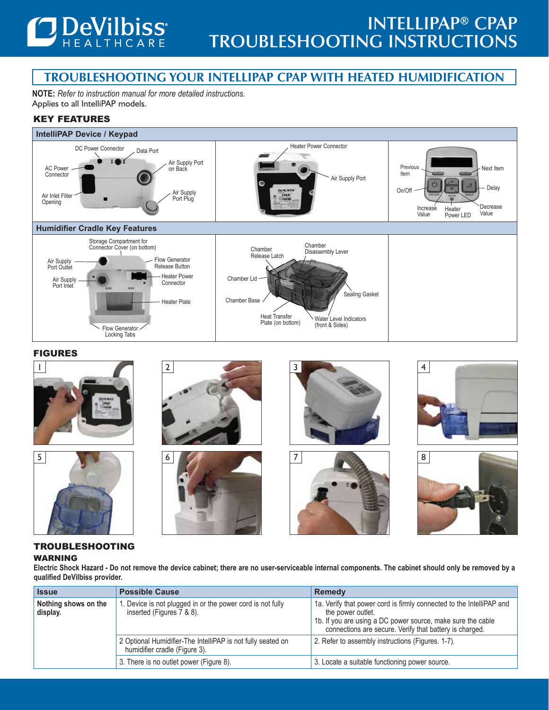

# **Troubleshooting YOUR intellipap CPAP with heated humidification**

**NOTE:** *Refer to instruction manual for more detailed instructions.* Applies to all IntelliPAP models.

## Key Features



#### FIGURES



#### TROUBLESHOOTING WARNING

**Electric Shock Hazard - Do not remove the device cabinet; there are no user-serviceable internal components. The cabinet should only be removed by a qualified DeVilbiss provider.**

| <b>Issue</b>                     | <b>Possible Cause</b>                                                                        | <b>Remedy</b>                                                                                                                                                                                                       |
|----------------------------------|----------------------------------------------------------------------------------------------|---------------------------------------------------------------------------------------------------------------------------------------------------------------------------------------------------------------------|
| Nothing shows on the<br>display. | . Device is not plugged in or the power cord is not fully<br>inserted (Figures 7 & 8).       | 1a. Verify that power cord is firmly connected to the IntelliPAP and<br>the power outlet.<br>1b. If you are using a DC power source, make sure the cable<br>connections are secure. Verify that battery is charged. |
|                                  | 2 Optional Humidifier-The IntelliPAP is not fully seated on<br>humidifier cradle (Figure 3). | 2. Refer to assembly instructions (Figures. 1-7).                                                                                                                                                                   |
|                                  | 3. There is no outlet power (Figure 8).                                                      | 3. Locate a suitable functioning power source.                                                                                                                                                                      |